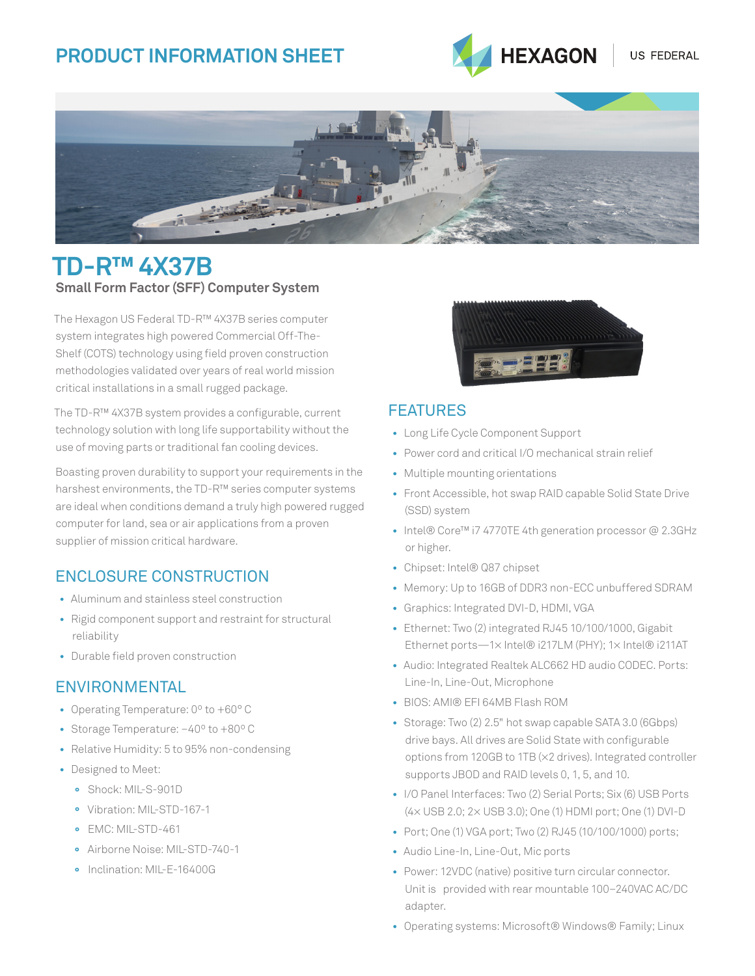# **Product Information SHEET**



US FEDERAL



# **TD-R™ 4x37b Small Form Factor (SFF) Computer System**

The Hexagon US Federal TD-R™ 4X37B series computer system integrates high powered Commercial Off-The-Shelf (COTS) technology using field proven construction methodologies validated over years of real world mission critical installations in a small rugged package.

The TD-R™ 4X37B system provides a configurable, current technology solution with long life supportability without the use of moving parts or traditional fan cooling devices.

Boasting proven durability to support your requirements in the harshest environments, the TD-R™ series computer systems are ideal when conditions demand a truly high powered rugged computer for land, sea or air applications from a proven supplier of mission critical hardware.

### Enclosure Construction

- Aluminum and stainless steel construction
- Rigid component support and restraint for structural reliability
- Durable field proven construction

### **ENVIRONMENTAL**

- Operating Temperature: 0º to +60° C
- Storage Temperature: –40º to +80º C
- Relative Humidity: 5 to 95% non-condensing
- Designed to Meet:
	- **°** Shock: MIL-S-901D
	- **°** Vibration: MIL-STD-167-1
	- **°** EMC: MIL-STD-461
	- **°** Airborne Noise: MIL-STD-740-1
	- **°** Inclination: MIL-E-16400G



#### **FFATURFS**

- Long Life Cycle Component Support
- Power cord and critical I/O mechanical strain relief
- Multiple mounting orientations
- Front Accessible, hot swap RAID capable Solid State Drive (SSD) system
- Intel® Core™ i7 4770TE 4th generation processor @ 2.3GHz or higher.
- Chipset: Intel® Q87 chipset
- Memory: Up to 16GB of DDR3 non-ECC unbuffered SDRAM
- Graphics: Integrated DVI-D, HDMI, VGA
- Ethernet: Two (2) integrated RJ45 10/100/1000, Gigabit Ethernet ports—1× Intel® i217LM (PHY); 1× Intel® i211AT
- Audio: Integrated Realtek ALC662 HD audio CODEC. Ports: Line-In, Line-Out, Microphone
- BIOS: AMI® EFI 64MB Flash ROM
- Storage: Two (2) 2.5" hot swap capable SATA 3.0 (6Gbps) drive bays. All drives are Solid State with configurable options from 120GB to 1TB (×2 drives). Integrated controller supports JBOD and RAID levels 0, 1, 5, and 10.
- I/O Panel Interfaces: Two (2) Serial Ports; Six (6) USB Ports (4× USB 2.0; 2× USB 3.0); One (1) HDMI port; One (1) DVI-D
- Port; One (1) VGA port; Two (2) RJ45 (10/100/1000) ports;
- Audio Line-In, Line-Out, Mic ports
- Power: 12VDC (native) positive turn circular connector. Unit is provided with rear mountable 100–240VAC AC/DC adapter.
- Operating systems: Microsoft® Windows® Family; Linux